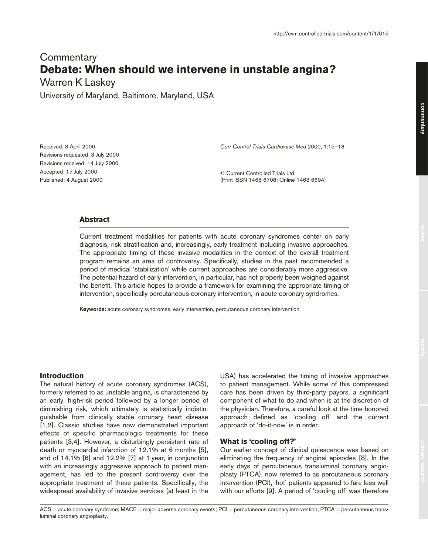# **Commentary Debate: When should we intervene in unstable angina?**

Warren K Laskey

University of Maryland, Baltimore, Maryland, USA

Received: 3 April 2000 Revisions requested: 3 July 2000 Revisions received: 14 July 2000 Accepted: 17 July 2000 Published: 4 August 2000

*Curr Control Trials Cardiovasc Med* 2000, **1**:15–18

© Current Controlled Trials Ltd (Print ISSN 1468-6708; Online 1468-6694)

## **Abstract**

Current treatment modalities for patients with acute coronary syndromes center on early diagnosis, risk stratification and, increasingly, early treatment including invasive approaches. The appropriate timing of these invasive modalities in the context of the overall treatment program remains an area of controversy. Specifically, studies in the past recommended a period of medical 'stabilization' while current approaches are considerably more aggressive. The potential hazard of early intervention, in particular, has not properly been weighed against the benefit. This article hopes to provide a framework for examining the appropriate timing of intervention, specifically percutaneous coronary intervention, in acute coronary syndromes.

**Keywords:** acute coronary syndromes, early intervention, percutaneous coronary intervention

## **Introduction**

The natural history of acute coronary syndromes (ACS), formerly referred to as unstable angina, is characterized by an early, high-risk period followed by a longer period of diminishing risk, which ultimately is statistically indistinguishable from clinically stable coronary heart disease [1,2]. Classic studies have now demonstrated important effects of specific pharmacologic treatments for these patients [3,4]. However, a disturbingly persistent rate of death or myocardial infarction of 12.1% at 6 months [5], and of 14.1% [6] and 12.2% [7] at 1 year, in conjunction with an increasingly aggressive approach to patient management, has led to the present controversy over the appropriate treatment of these patients. Specifically, the widespread availability of invasive services (at least in the

USA) has accelerated the timing of invasive approaches to patient management. While some of this compressed care has been driven by third-party payors, a significant component of what to do and when is at the discretion of the physician. Therefore, a careful look at the time-honored approach defined as 'cooling off' and the current approach of 'do-it-now' is in order.

#### **What is 'cooling off?'**

Our earlier concept of clinical quiescence was based on eliminating the frequency of anginal episodes [8]. In the early days of percutaneous transluminal coronary angioplasty (PTCA), now referred to as percutaneous coronary intervention (PCI), 'hot' patients appeared to fare less well with our efforts [9]. A period of 'cooling off' was therefore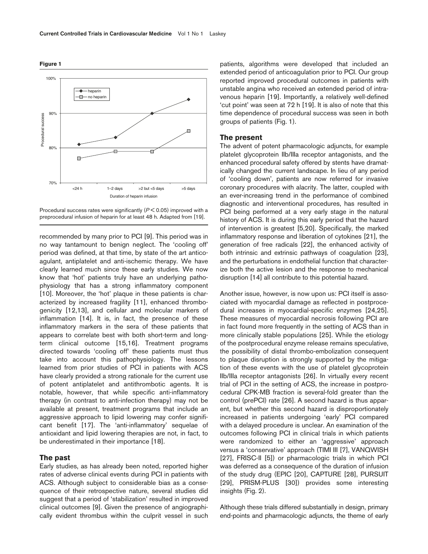Procedural success rates were significantly (*P* < 0.05) improved with a preprocedural infusion of heparin for at least 48 h. Adapted from [19].

recommended by many prior to PCI [9]. This period was in no way tantamount to benign neglect. The 'cooling off' period was defined, at that time, by state of the art anticoagulant, antiplatelet and anti-ischemic therapy. We have clearly learned much since these early studies. We now know that 'hot' patients truly have an underlying pathophysiology that has a strong inflammatory component [10]. Moreover, the 'hot' plaque in these patients is characterized by increased fragility [11], enhanced thrombogenicity [12,13], and cellular and molecular markers of inflammation [14]. It is, in fact, the presence of these inflammatory markers in the sera of these patients that appears to correlate best with both short-term and longterm clinical outcome [15,16]. Treatment programs directed towards 'cooling off' these patients must thus take into account this pathophysiology. The lessons learned from prior studies of PCI in patients with ACS have clearly provided a strong rationale for the current use of potent antiplatelet and antithrombotic agents. It is notable, however, that while specific anti-inflammatory therapy (in contrast to anti-infection therapy) may not be available at present, treatment programs that include an aggressive approach to lipid lowering may confer significant benefit [17]. The 'anti-inflammatory' sequelae of antioxidant and lipid lowering therapies are not, in fact, to be underestimated in their importance [18].

#### **The past**

Early studies, as has already been noted, reported higher rates of adverse clinical events during PCI in patients with ACS. Although subject to considerable bias as a consequence of their retrospective nature, several studies did suggest that a period of 'stabilization' resulted in improved clinical outcomes [9]. Given the presence of angiographically evident thrombus within the culprit vessel in such patients, algorithms were developed that included an extended period of anticoagulation prior to PCI. Our group reported improved procedural outcomes in patients with unstable angina who received an extended period of intravenous heparin [19]. Importantly, a relatively well-defined 'cut point' was seen at 72 h [19]. It is also of note that this time dependence of procedural success was seen in both groups of patients (Fig. 1).

#### **The present**

The advent of potent pharmacologic adjuncts, for example platelet glycoprotein IIb/IIIa receptor antagonists, and the enhanced procedural safety offered by stents have dramatically changed the current landscape. In lieu of any period of 'cooling down', patients are now referred for invasive coronary procedures with alacrity. The latter, coupled with an ever-increasing trend in the performance of combined diagnostic and interventional procedures, has resulted in PCI being performed at a very early stage in the natural history of ACS. It is during this early period that the hazard of intervention is greatest [5,20]. Specifically, the marked inflammatory response and liberation of cytokines [21], the generation of free radicals [22], the enhanced activity of both intrinsic and extrinsic pathways of coagulation [23], and the perturbations in endothelial function that characterize both the active lesion and the response to mechanical disruption [14] all contribute to this potential hazard.

Another issue, however, is now upon us: PCI itself is associated with myocardial damage as reflected in postprocedural increases in myocardial-specific enzymes [24,25]. These measures of myocardial necrosis following PCI are in fact found more frequently in the setting of ACS than in more clinically stable populations [25]. While the etiology of the postprocedural enzyme release remains speculative, the possibility of distal thrombo-embolization consequent to plaque disruption is strongly supported by the mitigation of these events with the use of platelet glycoprotein IIb/IIIa receptor antagonists [26]. In virtually every recent trial of PCI in the setting of ACS, the increase in postprocedural CPK-MB fraction is several-fold greater than the control (prePCI) rate [26]. A second hazard is thus apparent, but whether this second hazard is disproportionately increased in patients undergoing 'early' PCI compared with a delayed procedure is unclear. An examination of the outcomes following PCI in clinical trials in which patients were randomized to either an 'aggressive' approach versus a 'conservative' approach (TIMI III [7], VANQWISH [27], FRISC-II [5]) or pharmacologic trials in which PCI was deferred as a consequence of the duration of infusion of the study drug (EPIC [20], CAPTURE [28], PURSUIT [29], PRISM-PLUS [30]) provides some interesting insights (Fig. 2).

Although these trials differed substantially in design, primary end-points and pharmacologic adjuncts, the theme of early

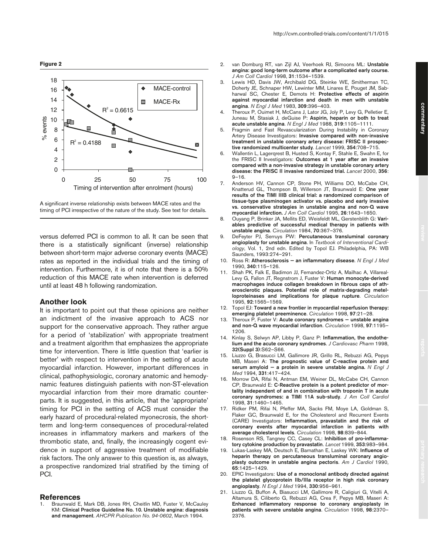



versus deferred PCI is common to all. It can be seen that there is a statistically significant (inverse) relationship between short-term major adverse coronary events (MACE) rates as reported in the individual trials and the timing of intervention. Furthermore, it is of note that there is a 50% reduction of this MACE rate when intervention is deferred until at least 48 h following randomization.

### **Another look**

It is important to point out that these opinions are neither an indictment of the invasive approach to ACS nor support for the conservative approach. They rather argue for a period of 'stabilization' with appropriate treatment and a treatment algorithm that emphasizes the appropriate time for intervention. There is little question that 'earlier is better' with respect to intervention in the setting of acute myocardial infarction. However, important differences in clinical, pathophysiologic, coronary anatomic and hemodynamic features distinguish patients with non-ST-elevation myocardial infarction from their more dramatic counterparts. It is suggested, in this article, that the 'appropriate' timing for PCI in the setting of ACS must consider the early hazard of procedural-related myonecrosis, the shortterm and long-term consequences of procedural-related increases in inflammatory markers and markers of the thrombotic state, and, finally, the increasingly cogent evidence in support of aggressive treatment of modifiable risk factors. The only answer to this question is, as always, a prospective randomized trial stratified by the timing of PCI.

#### **References**

1. Braunwald E, Mark DB, Jones RH, Cheitlin MD, Fuster V, McCauley KM: **Clinical Practice Guideline No. 10. Unstable angina: diagnosis and management**. *AHCPR Publication No. 94-0602*, March 1994.

- 2. van Domburg RT, van Zijl AJ, Veerhoek RJ, Simoons ML: **Unstable angina: good long-term outcome after a complicated early course.** *J Am Coll Cardiol* 1998, **31**:1534–1539.
- 3. Lewis HD, Davis JW, Archibald DG, Steinke WE, Smitherman TC, Doherty JE, Schnaper HW, Lewinter MM, Linares E, Pouget JM, Sabharwal SC, Chester E, Demots H: **Protective effects of aspirin against myocardial infarction and death in men with unstable angina**. *N Engl J Med* 1983, **309**:396–403.
- 4. Theroux P, Ouimet H, McCans J, Lator JG, Joly P, Levy G, Pelletier E, Juneau M, Stasiak J, deGuise P: **Aspirin, heparin or both to treat acute unstable angina**. *N Engl J Med* 1988, **319**:1105–1111.
- 5. Fragmin and Fast Revascularization During Instability in Coronary Artery Disease Investigators: **Invasive compared with non-invasive treatment in unstable coronary artery disease: FRISC II prospective randomized multicenter study**. *Lancet* 1999, **354**:708–715.
- 6. Wallentin L, Lagerqrest B, Husted S, Kontay F, Stahle E, Swahn E, for the FRISC II Investigators: **Outcomes at 1 year after an invasive compared with a non-invasive strategy in unstable coronary artery disease: the FRISC II invasive randomized trial.** *Lancet* 2000, **356**:  $9 - 16.$
- 7. Anderson HV, Cannon CP, Stone PH, Williams DO, McCabe CH, Knatterud GL, Thompson B, Willerson JT, Braunwald E: **One year results of the TIMI IIIB clinical trial: a randomized comparison of tissue-type plasminogen activator vs. placebo and early invasive vs. conservative strategies in unstable angina and non-Q wave myocardial infarction.** *J Am Coll Cardiol* 1995, **26**:1643–1650.
- 8. Ouyang P, Brinker JA, Mellits ED, Weisfeldt ML, Gerstenblith G: **Variables predictive of successful medical therapy in patients with unstable angina**. *Circulation* 1984, **70**:367–376.
- 9. DeFeyter PJ, Serruys PW: **Percutaneous transluminal coronary angioplasty for unstable angina**. In *Textbook of Interventional Cardiology*, Vol. 1, 2nd edn. Edited by Topol EJ. Philadelphia, PA: WB Saunders, 1993:274–291.
- 10. Ross R: **Atherosclerosis an inflammatory disease**. *N Engl J Med* 1990, **340**:115–126.
- 11. Shah PK, Falk E, Badimon JJ, Fernandez-Ortiz A, Mailhac A, Villareal-Levy G, Fallon JT, Regnstrom J, Fuster V: **Human monocyte-derived macrophages induce collagen breakdown in fibrous caps of atherosclerotic plaques. Potential role of matrix-degrading metelloproteinases and implications for plaque rupture**. *Circulation* 1995, **92**:1565–1569.
- 12. Topol EJ: **Toward a new frontier in myocardial reperfusion therapy: emerging platelet preeminence**. *Circulation* 1998, **97**:21–28.
- 13. Theroux P, Fuster V: **Acute coronary syndromes unstable angina and non-Q wave myocardial infarction**. *Circulation* 1998, **97**:1195– 1206.
- 14. Kinlay S, Selwyn AP, Libby P, Ganz P: **Inflammation, the endothelium and the acute coronary syndromes**. *J Cardiovasc Pharm* 1998, **32(Suppl 3)**:S62–S66.
- 15. Liuzzo G, Brasucci LM, Gallimore JR, Grillo RL, Rebuzzi AG, Pepys MB, Maseri A: **The prognostic value of C-reactive protein and serum amyloid — a protein in severe unstable angina.** *N Engl J Med* 1994, **331**:417–424.
- 16. Morrow DA, Rifai N, Antman EM, Weiner DL, McCabe CH, Cannon CP, Braunwald E: **C-Reactive protein is a potent predictor of mortality independent of and in combination with troponin T in acute coronary syndromes: a TIMI 11A sub-study**. *J Am Coll Cardiol* 1998, **31**:1460–1465.
- 17. Ridker PM, Rifai N, Pfeffer MA, Sacks FM, Moye LA, Goldman S, Flaker GC, Braunwald E, for the Cholesterol and Recurrent Events (CARE) Investigators: **Inflammation, pravastatin and the risk of coronary events after myocardial infarction in patients with average cholesterol levels**. *Circulation* 1998, **98**:839–844.
- 18. Rosenson RS, Tangney CC, Casey CL: **Inhibition of pro-inflammatory cytokine production by pravastatin**. *Lancet* 1999, **353**:983–984.
- 19. Lukas-Laskey MA, Deutsch E, Barnathan E, Laskey WK: **Influence of heparin therapy on percutaneous transluminal coronary angioplasty outcome in unstable angina pectoris**. *Am J Cardiol* 1990, **65**:1425–1429.
- 20. EPIC Investigators: **Use of a monoclonal antibody directed against the platelet glycoprotein IIb/IIIa receptor in high risk coronary angioplasty**. *N Engl J Med* 1994, **330**:956–961.
- 21. Liuzzo G, Buffon A, Biasucci LM, Gallimore R, Caligiuri G, Vitelli A, Altamura S, Ciliberto G, Rebuzzi AG, Crea F, Pepys MB, Maseri A: **Enhanced inflammatory response to coronary angioplasty in patients with severe unstable angina**. *Circulation* 1998, **98**:2370– 2376.